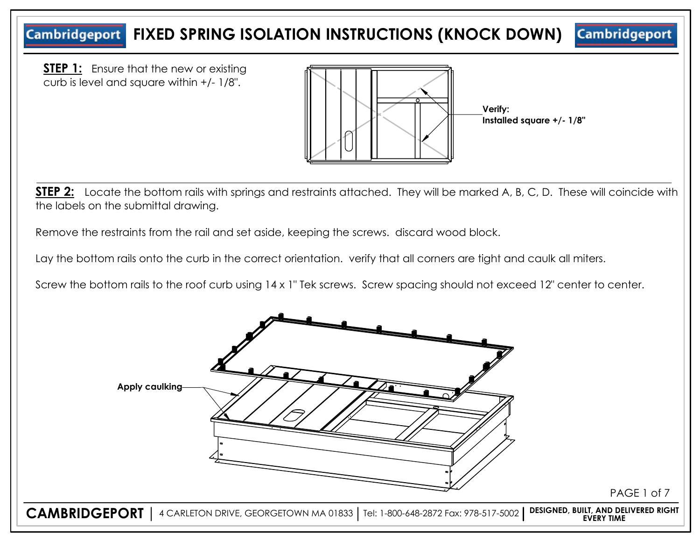# **Cambridgeport FIXED SPRING ISOLATION INSTRUCTIONS (KNOCK DOWN)**

**Cambridgeport** 

**STEP 1:** Ensure that the new or existing curb is level and square within +/- 1/8".



**STEP 2:** Locate the bottom rails with springs and restraints attached. They will be marked A, B, C, D. These will coincide with the labels on the submittal drawing.

Remove the restraints from the rail and set aside, keeping the screws. discard wood block.

Lay the bottom rails onto the curb in the correct orientation. verify that all corners are tight and caulk all miters.

Screw the bottom rails to the roof curb using 14 x 1" Tek screws. Screw spacing should not exceed 12" center to center.

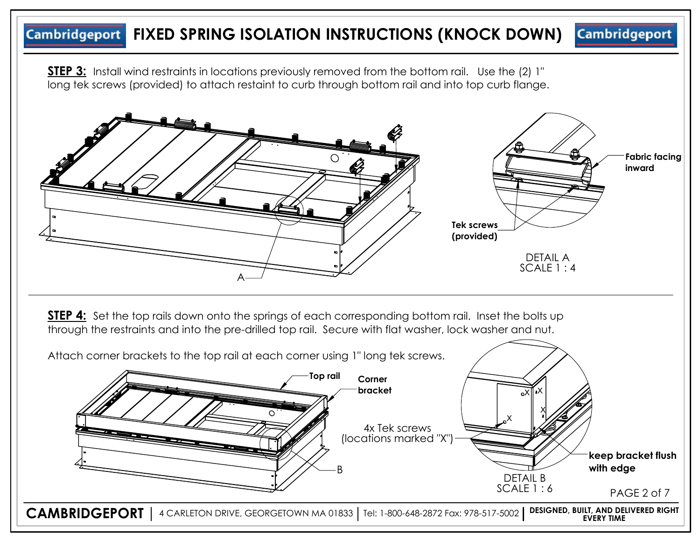#### **Cambridgeport Cambridgeport FIXED SPRING ISOLATION INSTRUCTIONS (KNOCK DOWN)**

**STEP 3:** Install wind restraints in locations previously removed from the bottom rail. Use the (2) 1" long tek screws (provided) to attach restaint to curb through bottom rail and into top curb flange.



**STEP 4:** Set the top rails down onto the springs of each corresponding bottom rail. Inset the bolts up through the restraints and into the pre-drilled top rail. Secure with flat washer, lock washer and nut.

Attach corner brackets to the top rail at each corner using 1" long tek screws.

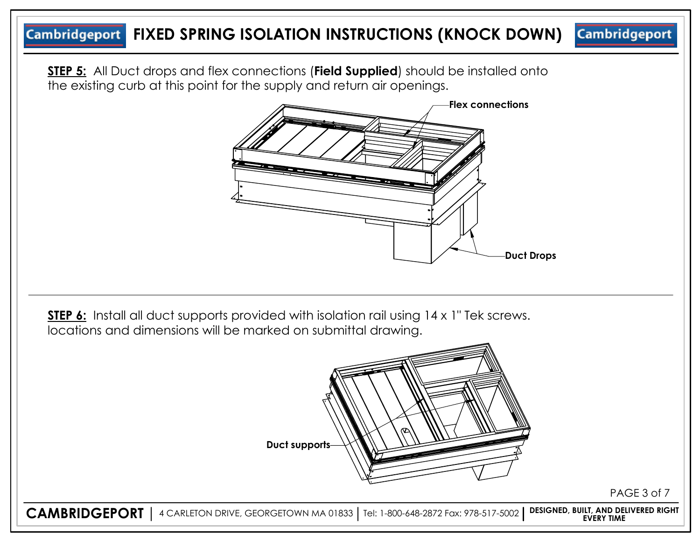# **Cambridgeport FIXED SPRING ISOLATION INSTRUCTIONS (KNOCK DOWN)**

**STEP 5:** All Duct drops and flex connections (**Field Supplied**) should be installed onto the existing curb at this point for the supply and return air openings.



**STEP 6:** Install all duct supports provided with isolation rail using 14 x 1" Tek screws. locations and dimensions will be marked on submittal drawing.



**Cambridgeport** 

**CAMBRIDGEPORT** 4 CARLETON DRIVE, GEORGETOWN MA 01833 Tel: 1-800-648-2872 Fax: 978-517-5002 **DESIGNED, BUILT, AND DELIVERED RIGHT EVERY TIME**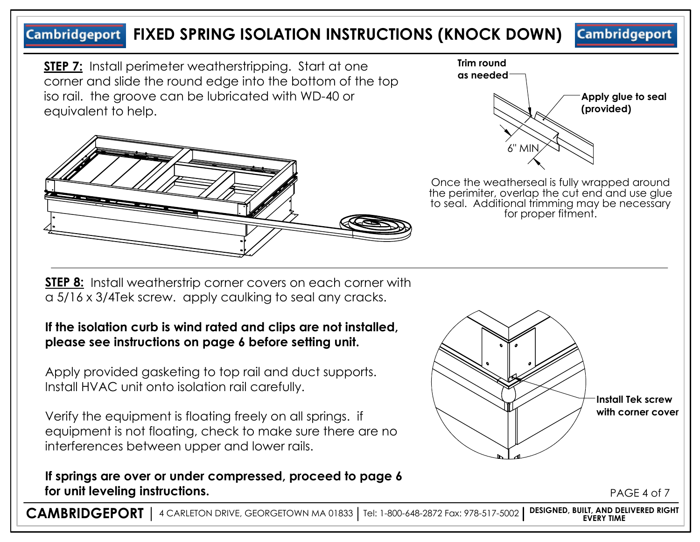#### **Cambridgeport FIXED SPRING ISOLATION INSTRUCTIONS (KNOCK DOWN) Cambridgeport**

**STEP 7:** Install perimeter weatherstripping. Start at one corner and slide the round edge into the bottom of the top iso rail. the groove can be lubricated with WD-40 or equivalent to help.





Once the weatherseal is fully wrapped around the perimiter, overlap the cut end and use glue to seal. Additional trimming may be necessary for proper fitment.

**STEP 8:** Install weatherstrip corner covers on each corner with a 5/16 x 3/4Tek screw. apply caulking to seal any cracks.

## **If the isolation curb is wind rated and clips are not installed, please see instructions on page 6 before setting unit.**

Apply provided gasketing to top rail and duct supports. Install HVAC unit onto isolation rail carefully.

Verify the equipment is floating freely on all springs. if equipment is not floating, check to make sure there are no interferences between upper and lower rails.

## **If springs are over or under compressed, proceed to page 6 for unit leveling instructions.**



PAGE 4 of 7

**CAMBRIDGEPORT** 4 CARLETON DRIVE, GEORGETOWN MA 01833 Tel: 1-800-648-2872 Fax: 978-517-5002 **DESIGNED, BUILT, AND DELIVERED RIGHT EVERY TIME**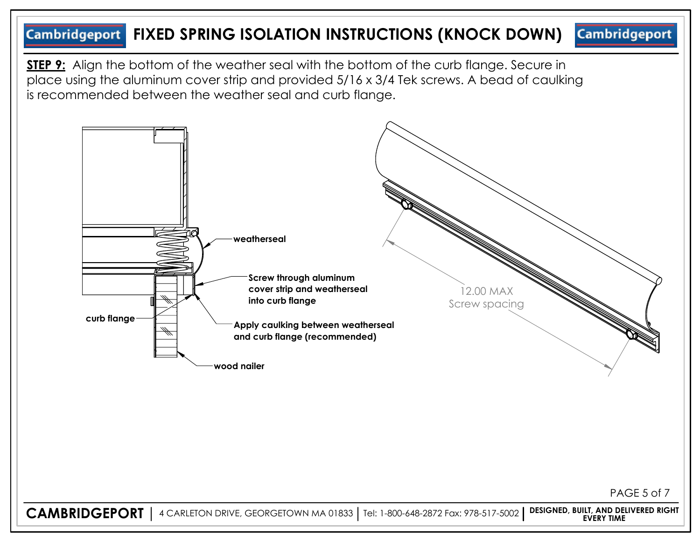#### **Cambridgeport FIXED SPRING ISOLATION INSTRUCTIONS (KNOCK DOWN) Cambridgeport**

**STEP 9:** Align the bottom of the weather seal with the bottom of the curb flange. Secure in place using the aluminum cover strip and provided 5/16 x 3/4 Tek screws. A bead of caulking is recommended between the weather seal and curb flange.

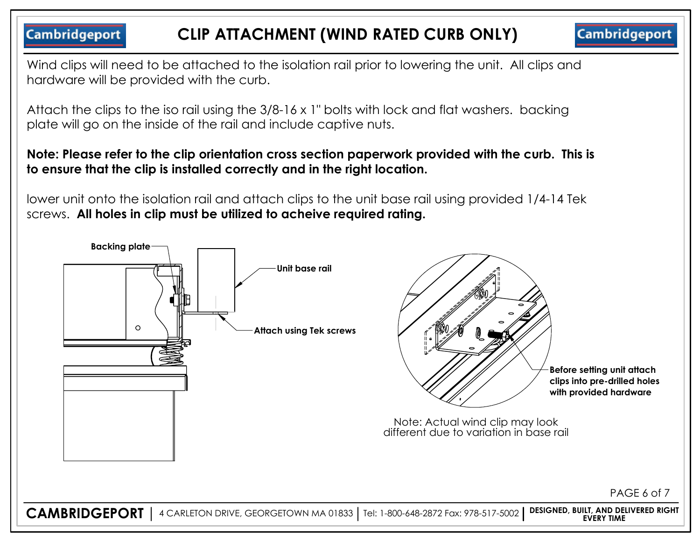**Cambridgeport** 

**Cambridgeport** 

Wind clips will need to be attached to the isolation rail prior to lowering the unit. All clips and hardware will be provided with the curb.

Attach the clips to the iso rail using the 3/8-16 x 1" bolts with lock and flat washers. backing plate will go on the inside of the rail and include captive nuts.

## **Note: Please refer to the clip orientation cross section paperwork provided with the curb. This is to ensure that the clip is installed correctly and in the right location.**

lower unit onto the isolation rail and attach clips to the unit base rail using provided 1/4-14 Tek screws. **All holes in clip must be utilized to acheive required rating.**